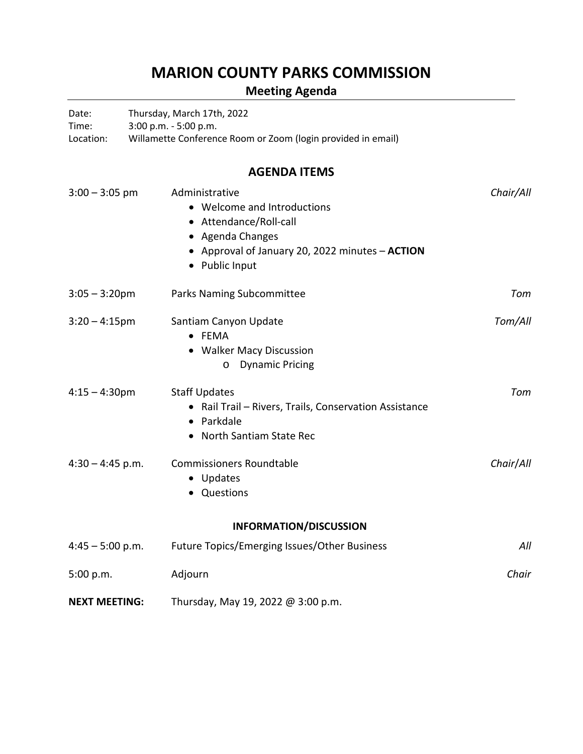## **MARION COUNTY PARKS COMMISSION**

## **Meeting Agenda**

| Date:                | Thursday, March 17th, 2022 |                                                                                                                                                                  |           |  |
|----------------------|----------------------------|------------------------------------------------------------------------------------------------------------------------------------------------------------------|-----------|--|
| Time:<br>Location:   |                            | 3:00 p.m. - 5:00 p.m.<br>Willamette Conference Room or Zoom (login provided in email)                                                                            |           |  |
|                      |                            | <b>AGENDA ITEMS</b>                                                                                                                                              |           |  |
| $3:00 - 3:05$ pm     |                            | Administrative<br>• Welcome and Introductions<br>• Attendance/Roll-call<br>• Agenda Changes<br>• Approval of January 20, 2022 minutes - ACTION<br>• Public Input | Chair/All |  |
| $3:05 - 3:20$ pm     |                            | Parks Naming Subcommittee                                                                                                                                        | Tom       |  |
| $3:20 - 4:15$ pm     |                            | Santiam Canyon Update<br>• FEMA<br>• Walker Macy Discussion<br><b>Dynamic Pricing</b><br>$\circ$                                                                 | Tom/All   |  |
| $4:15 - 4:30$ pm     |                            | <b>Staff Updates</b><br>• Rail Trail - Rivers, Trails, Conservation Assistance<br>• Parkdale<br>• North Santiam State Rec                                        | Tom       |  |
| $4:30 - 4:45$ p.m.   |                            | <b>Commissioners Roundtable</b><br>• Updates<br>Questions                                                                                                        | Chair/All |  |
|                      |                            | <b>INFORMATION/DISCUSSION</b>                                                                                                                                    |           |  |
| $4:45 - 5:00$ p.m.   |                            | Future Topics/Emerging Issues/Other Business                                                                                                                     | All       |  |
| 5:00 p.m.            |                            | Adjourn                                                                                                                                                          | Chair     |  |
| <b>NEXT MEETING:</b> |                            | Thursday, May 19, 2022 @ 3:00 p.m.                                                                                                                               |           |  |